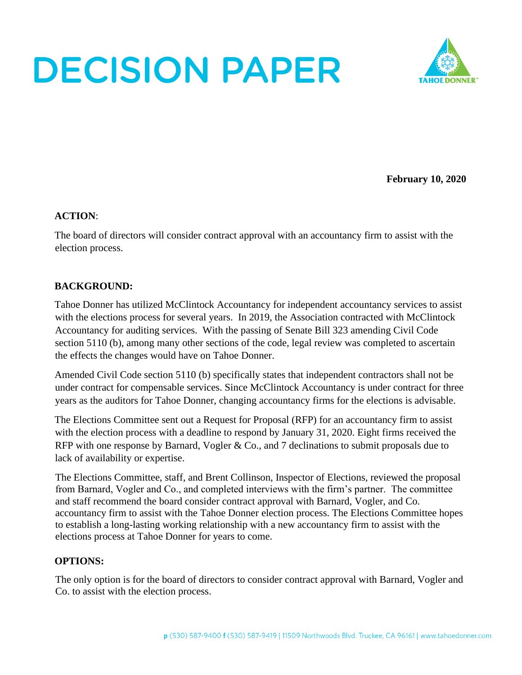# **DECISION PAPER**



**February 10, 2020**

#### **ACTION**:

The board of directors will consider contract approval with an accountancy firm to assist with the election process.

### **BACKGROUND:**

Tahoe Donner has utilized McClintock Accountancy for independent accountancy services to assist with the elections process for several years. In 2019, the Association contracted with McClintock Accountancy for auditing services. With the passing of Senate Bill 323 amending Civil Code section 5110 (b), among many other sections of the code, legal review was completed to ascertain the effects the changes would have on Tahoe Donner.

Amended Civil Code section 5110 (b) specifically states that independent contractors shall not be under contract for compensable services. Since McClintock Accountancy is under contract for three years as the auditors for Tahoe Donner, changing accountancy firms for the elections is advisable.

The Elections Committee sent out a Request for Proposal (RFP) for an accountancy firm to assist with the election process with a deadline to respond by January 31, 2020. Eight firms received the RFP with one response by Barnard, Vogler & Co., and 7 declinations to submit proposals due to lack of availability or expertise.

The Elections Committee, staff, and Brent Collinson, Inspector of Elections, reviewed the proposal from Barnard, Vogler and Co., and completed interviews with the firm's partner. The committee and staff recommend the board consider contract approval with Barnard, Vogler, and Co. accountancy firm to assist with the Tahoe Donner election process. The Elections Committee hopes to establish a long-lasting working relationship with a new accountancy firm to assist with the elections process at Tahoe Donner for years to come.

#### **OPTIONS:**

The only option is for the board of directors to consider contract approval with Barnard, Vogler and Co. to assist with the election process.